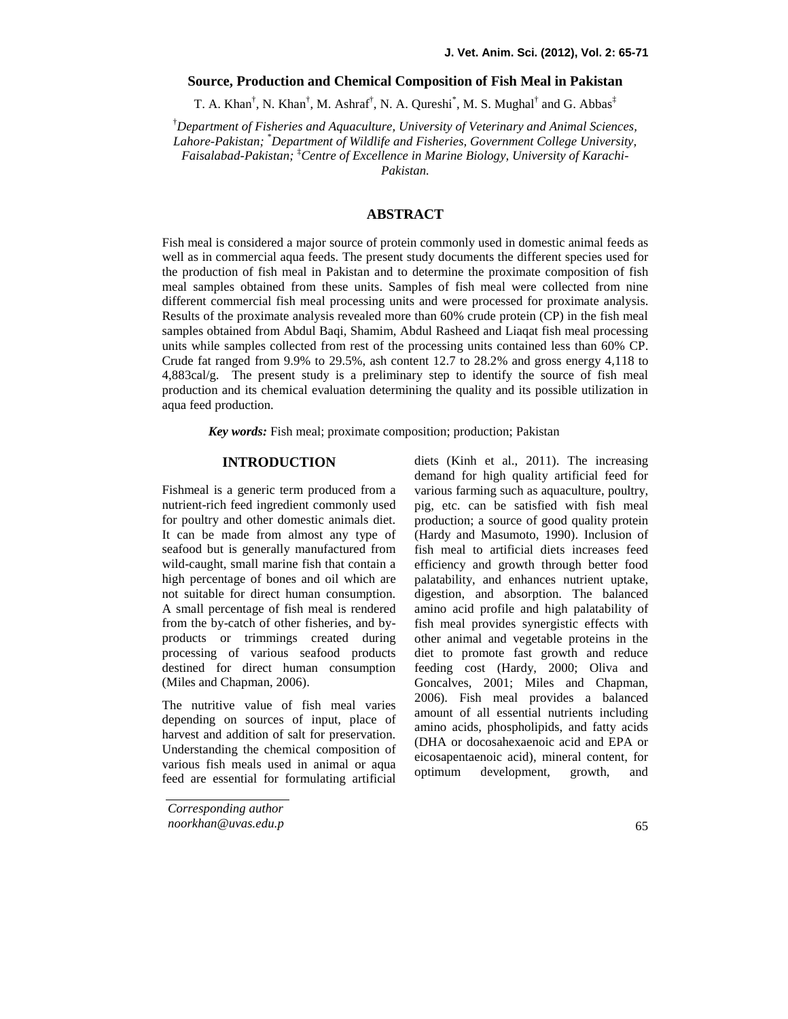# **Source, Production and Chemical Composition of Fish Meal in Pakistan**

T. A. Khan<sup>†</sup>, N. Khan<sup>†</sup>, M. Ashraf<sup>†</sup>, N. A. Qureshi<sup>\*</sup>, M. S. Mughal<sup>†</sup> and G. Abbas<sup>‡</sup>

†*Department of Fisheries and Aquaculture, University of Veterinary and Animal Sciences, Lahore-Pakistan;* \**Department of Wildlife and Fisheries, Government College University, Faisalabad-Pakistan;* ‡*Centre of Excellence in Marine Biology, University of Karachi- Pakistan.*

### **ABSTRACT**

Fish meal is considered a major source of protein commonly used in domestic animal feeds as well as in commercial aqua feeds. The present study documents the different species used for the production of fish meal in Pakistan and to determine the proximate composition offish meal samples obtained from these units. Samples of fish meal were collected from nine different commercial fish meal processing units and were processed for proximate analysis. Results of the proximate analysis revealed more than 60% crude protein (CP) in the fish meal samples obtained from Abdul Baqi, Shamim, Abdul Rasheed and Liaqat fish meal processing units while samples collected from rest of the processing units contained less than 60% CP. Crude fat ranged from 9.9% to 29.5%, ash content 12.7 to 28.2% and gross energy 4,118 to 4,883cal/g. The present study is a preliminary step to identify the source of fish meal production and its chemical evaluation determining the quality and its possible utilization in aqua feed production.

*Key words:* Fish meal; proximate composition; production; Pakistan

### **INTRODUCTION**

Fishmeal is a generic term produced from a nutrient-rich feed ingredient commonly used for poultry and other domestic animals diet. It can be made from almost any type of seafood but is generally manufactured from wild-caught, small marine fish that contain a high percentage of bones and oil which are not suitable for direct human consumption. A small percentage of fish meal is rendered from the by-catch of other fisheries, and by products or trimmings created during processing of various seafood products destined for direct human consumption (Miles and Chapman, 2006).

The nutritive value of fish meal varies depending on sources of input, place of harvest and addition of salt for preservation. Understanding the chemical composition of various fish meals used in animal or aqua<br>optimum feed are essential for formulating artificial

*Corresponding author noorkhan@uvas.edu.p* diets (Kinh et al., 2011). The increasing demand for high quality artificial feed for various farming such as aquaculture, poultry, pig, etc. can be satisfied with fish meal production; a source of good quality protein (Hardy and Masumoto, 1990). Inclusion of fish meal to artificial diets increases feed efficiency and growth through better food palatability, and enhances nutrient uptake, digestion, and absorption. The balanced amino acid profile and high palatability of fish meal provides synergistic effects with other animal and vegetable proteins in the diet to promote fast growth and reduce feeding cost (Hardy, 2000; Oliva and Goncalves, 2001; Miles and Chapman, 2006). Fish meal provides a balanced amount of all essential nutrients including amino acids, phospholipids, and fatty acids (DHA or docosahexaenoic acid and EPA or eicosapentaenoic acid), mineral content, for development, growth, and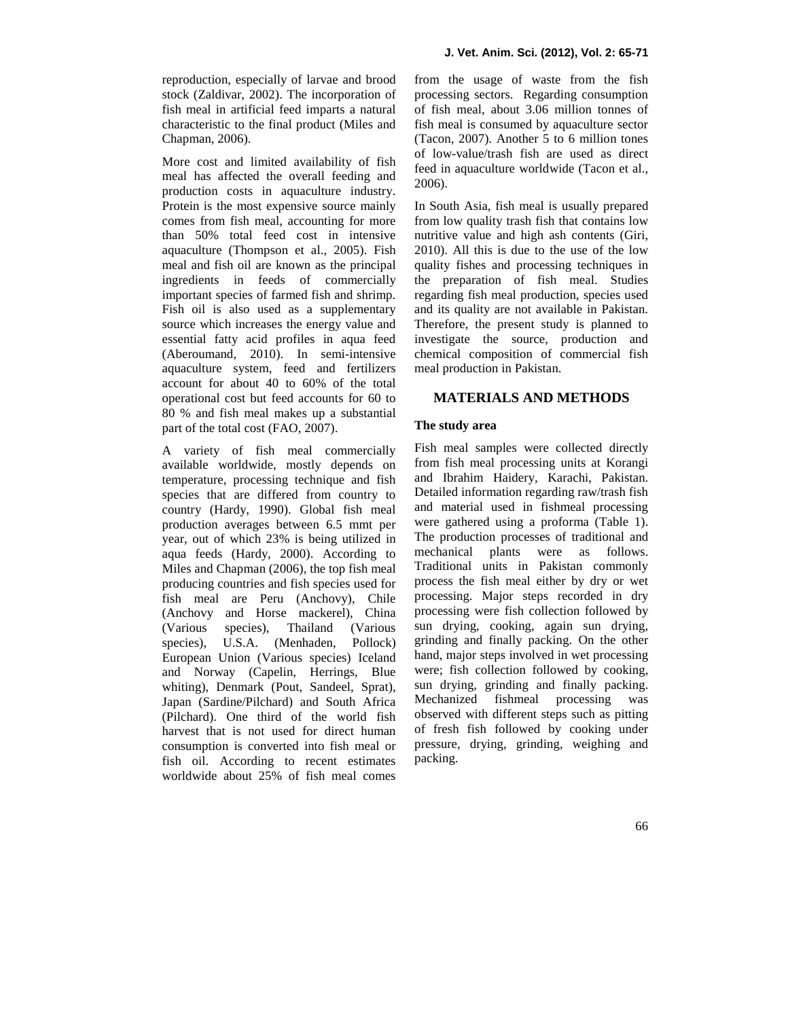reproduction, especially of larvae and brood stock (Zaldivar, 2002). The incorporation of fish meal in artificial feed imparts a natural characteristic to the final product (Miles and Chapman, 2006).

More cost and limited availability of fish meal has affected the overall feeding and production costs in aquaculture industry. Protein is the most expensive source mainly comes from fish meal, accounting for more than 50% total feed cost in intensive aquaculture (Thompson et al., 2005). Fish meal and fish oil are known as the principal ingredients in feeds of commercially important species of farmed fish and shrimp. Fish oil is also used as a supplementary source which increases the energy value and essential fatty acid profiles in aqua feed (Aberoumand, 2010). In semi-intensive aquaculture system, feed and fertilizers account for about 40 to 60% of the total operational cost but feed accounts for 60 to 80 % and fish meal makes up a substantial part of the total cost (FAO, 2007).

A variety of fish meal commercially available worldwide, mostly depends on temperature, processing technique and fish species that are differed from country to country (Hardy, 1990). Global fish meal production averages between 6.5 mmt per year, out of which 23% is being utilized in The product against feeds (Hardy 2000) According to mechanical aqua feeds (Hardy, 2000). According to Miles and Chapman (2006), the top fish meal producing countries and fish species used for fish meal are Peru (Anchovy), Chile (Anchovy and Horse mackerel), China (Various species), Thailand (Various species), U.S.A. (Menhaden, Pollock) European Union (Various species) Iceland and Norway (Capelin, Herrings, Blue whiting), Denmark (Pout, Sandeel, Sprat), Japan (Sardine/Pilchard) and South Africa (Pilchard). One third of the world fish harvest that is not used for direct human consumption is converted into fish meal or fish oil. According to recent estimates worldwide about 25% of fish meal comes

from the usage of waste from the fish processing sectors. Regarding consumption of fish meal, about 3.06 million tonnes of fish meal is consumed by aquaculture sector (Tacon, 2007). Another 5 to 6 million tones of low-value/trash fish are used as direct feed in aquaculture worldwide (Tacon et al., 2006).

In South Asia, fish meal is usually prepared from low quality trash fish that contains low nutritive value and high ash contents (Giri, 2010). All this is due to the use of the low quality fishes and processing techniques in the preparation of fish meal. Studies regarding fish meal production, species used and its quality are not available in Pakistan. Therefore, the present study is planned to investigate the source, production and chemical composition of commercial fish meal production in Pakistan.

# **MATERIALS AND METHODS**

## **The study area**

Fish meal samples were collected directly from fish meal processing units at Korangi and Ibrahim Haidery, Karachi, Pakistan. Detailed information regarding raw/trash fish and material used in fishmeal processing were gathered using a proforma (Table 1). The production processes of traditional and plants were as follows. Traditional units in Pakistan commonly process the fish meal either by dry or wet processing. Major steps recorded in dry processing were fish collection followed by sun drying, cooking, again sun drying, grinding and finally packing. On the other hand, major steps involved in wet processing were; fish collection followed by cooking, sun drying, grinding and finally packing. Mechanized fishmeal processing was observed with different steps such as pitting of fresh fish followed by cooking under pressure, drying, grinding, weighing and packing.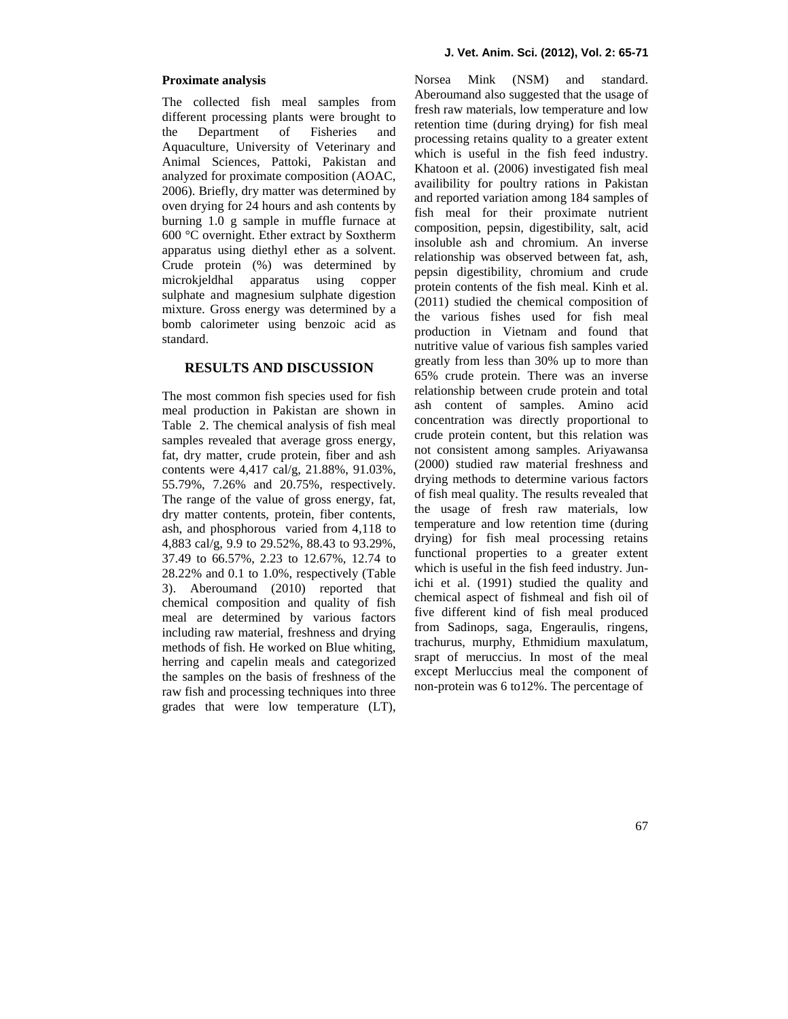#### **Proximate analysis**

The collected fish meal samples from different processing plants were brought to the Department of Fisheries and Aquaculture, University of Veterinary and Animal Sciences, Pattoki, Pakistan and analyzed for proximate composition (AOAC, 2006). Briefly, dry matter was determined by oven drying for 24 hours and ash contents by burning 1.0 g sample in muffle furnace at 600 °C overnight. Ether extract by Soxtherm apparatus using diethyl ether as a solvent. Crude protein (%) was determined by microkjeldhal apparatus using copper sulphate and magnesium sulphate digestion mixture. Gross energy was determined by a bomb calorimeter using benzoic acid as standard.

# **RESULTS AND DISCUSSION**

The most common fish species used for fish meal production in Pakistan are shown in Table 2.The chemical analysis of fish meal samples revealed that average gross energy, fat, dry matter, crude protein, fiber and ash contents were 4,417 cal/g, 21.88%, 91.03%, 55.79%, 7.26% and 20.75%, respectively. The range of the value of gross energy, fat, dry matter contents, protein, fiber contents, ash, and phosphorous varied from 4,118 to 4,883 cal/g, 9.9 to 29.52%, 88.43 to 93.29%, 37.49 to 66.57%, 2.23 to 12.67%, 12.74 to 28.22% and 0.1 to 1.0%, respectively (Table 3). Aberoumand (2010) reported that chemical composition and quality of fish meal are determined by various factors including raw material, freshness and drying methods of fish. He worked on Blue whiting, herring and capelin meals and categorized the samples on the basis of freshness of the raw fish and processing techniques into three grades that were low temperature (LT), Norsea Mink (NSM) and standard. Aberoumand also suggested that the usage of fresh raw materials, low temperature and low retention time (during drying) for fish meal processing retains quality to a greater extent which is useful in the fish feed industry. Khatoon et al. (2006) investigated fish meal availibility for poultry rations in Pakistan and reported variation among 184 samples of fish meal for their proximate nutrient composition, pepsin, digestibility, salt, acid insoluble ash and chromium. An inverse relationship was observed between fat, ash, pepsin digestibility, chromium and crude protein contents of the fish meal. Kinh et al. (2011) studied the chemical composition of the various fishes used for fish meal production in Vietnam and found that nutritive value of various fish samples varied greatly from less than 30% up to more than 65% crude protein. There was an inverse relationship between crude protein and total ash content of samples. Amino acid concentration was directly proportional to crude protein content, but this relation was not consistent among samples. Ariyawansa (2000) studied raw material freshness and drying methods to determine various factors of fish meal quality. The results revealed that the usage of fresh raw materials, low temperature and low retention time (during drying) for fish meal processing retains functional properties to a greater extent which is useful in the fish feed industry. Junichi et al. (1991) studied the quality and chemical aspect of fishmeal and fish oil of five different kind of fish meal produced from Sadinops, saga, Engeraulis, ringens, trachurus, murphy, Ethmidium maxulatum, srapt of meruccius. In most of the meal except Merluccius meal the component of non-protein was 6 to12%. The percentage of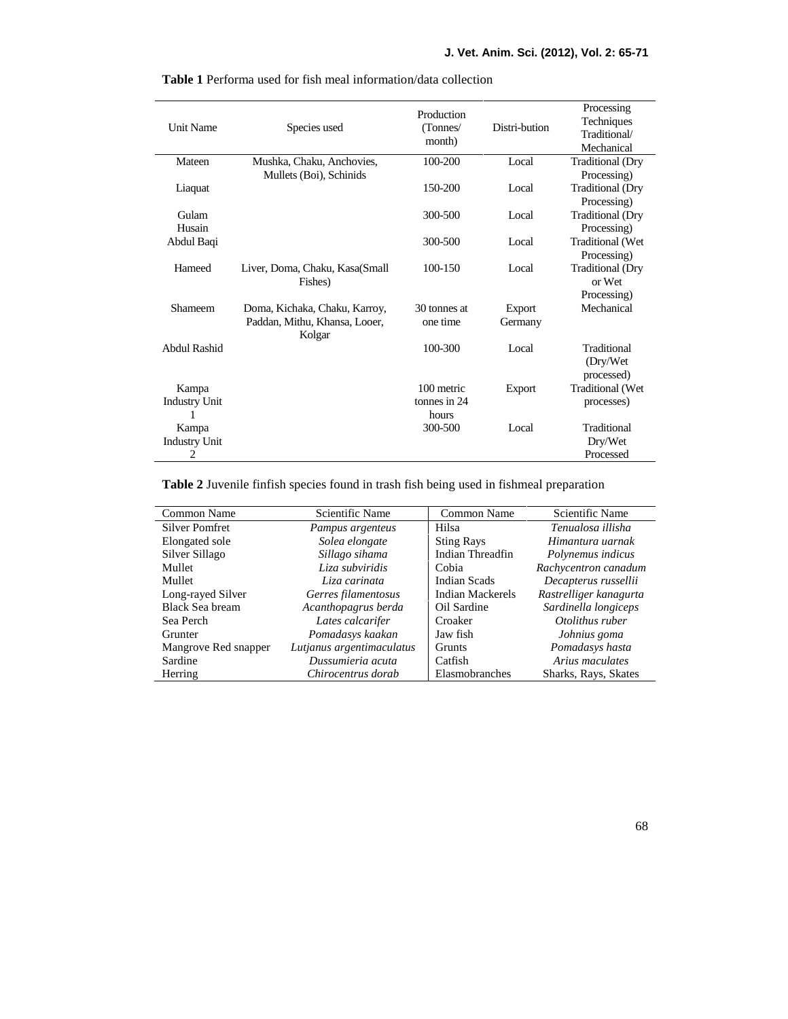| <b>Unit Name</b>     | Species used                            | Production<br>(Tonnes/<br>month) | Distri-bution | Processing<br>Techniques<br>Traditional/<br>Mechanical |
|----------------------|-----------------------------------------|----------------------------------|---------------|--------------------------------------------------------|
| Mateen               | Mushka, Chaku, Anchovies,               | 100-200                          | Local         | <b>Traditional (Dry</b>                                |
|                      | Mullets (Boi), Schinids                 |                                  |               | Processing)                                            |
| Liaquat              |                                         | 150-200                          | Local         | <b>Traditional (Dry</b>                                |
|                      |                                         |                                  |               | Processing)                                            |
| Gulam                |                                         | 300-500                          | Local         | <b>Traditional (Dry</b>                                |
| Husain               |                                         |                                  |               | Processing)                                            |
| Abdul Baqi           |                                         | 300-500                          | Local         | <b>Traditional (Wet</b>                                |
|                      |                                         |                                  |               | Processing)                                            |
| Hameed               | Liver, Doma, Chaku, Kasa(Small          | 100-150                          | Local         | <b>Traditional</b> (Dry                                |
|                      | Fishes)                                 |                                  |               | or Wet                                                 |
|                      |                                         |                                  |               | Processing)                                            |
| Shameem              | Doma, Kichaka, Chaku, Karroy,           | 30 tonnes at                     | Export        | Mechanical                                             |
|                      | Paddan, Mithu, Khansa, Looer,<br>Kolgar | one time                         | Germany       |                                                        |
| Abdul Rashid         |                                         | 100-300                          | Local         | Traditional                                            |
|                      |                                         |                                  |               | (Dry/Wet                                               |
|                      |                                         |                                  |               | processed)                                             |
| Kampa                |                                         | 100 metric                       | Export        | Traditional (Wet                                       |
| <b>Industry Unit</b> |                                         | tonnes in 24                     |               | processes)                                             |
|                      |                                         | hours                            |               |                                                        |
| Kampa                |                                         | 300-500                          | Local         | Traditional                                            |
| <b>Industry Unit</b> |                                         |                                  |               | Dry/Wet                                                |
| 2                    |                                         |                                  |               | Processed                                              |

**Table 1** Performa used for fish meal information/data collection

**Table 2** Juvenile finfish species found in trash fish being used in fishmeal preparation

| Common Name           | Scientific Name           | Common Name         | Scientific Name        |
|-----------------------|---------------------------|---------------------|------------------------|
| <b>Silver Pomfret</b> | Pampus argenteus          | Hilsa               | Tenualosa illisha      |
| Elongated sole        | Solea elongate            | <b>Sting Rays</b>   | Himantura uarnak       |
| Silver Sillago        | Sillago sihama            | Indian Threadfin    | Polynemus indicus      |
| Mullet                | Liza subviridis           | Cobia               | Rachycentron canadum   |
| Mullet                | Liza carinata             | <b>Indian Scads</b> | Decapterus russellii   |
| Long-rayed Silver     | Gerres filamentosus       | Indian Mackerels    | Rastrelliger kanagurta |
| Black Sea bream       | Acanthopagrus berda       | Oil Sardine         | Sardinella longiceps   |
| Sea Perch             | Lates calcarifer          | Croaker             | Otolithus ruber        |
| Grunter               | Pomadasys kaakan          | Jaw fish            | Johnius goma           |
| Mangrove Red snapper  | Lutjanus argentimaculatus | <b>Grunts</b>       | Pomadasys hasta        |
| Sardine               | Dussumieria acuta         | Catfish             | Arius maculates        |
| Herring               | Chirocentrus dorab        | Elasmobranches      | Sharks, Rays, Skates   |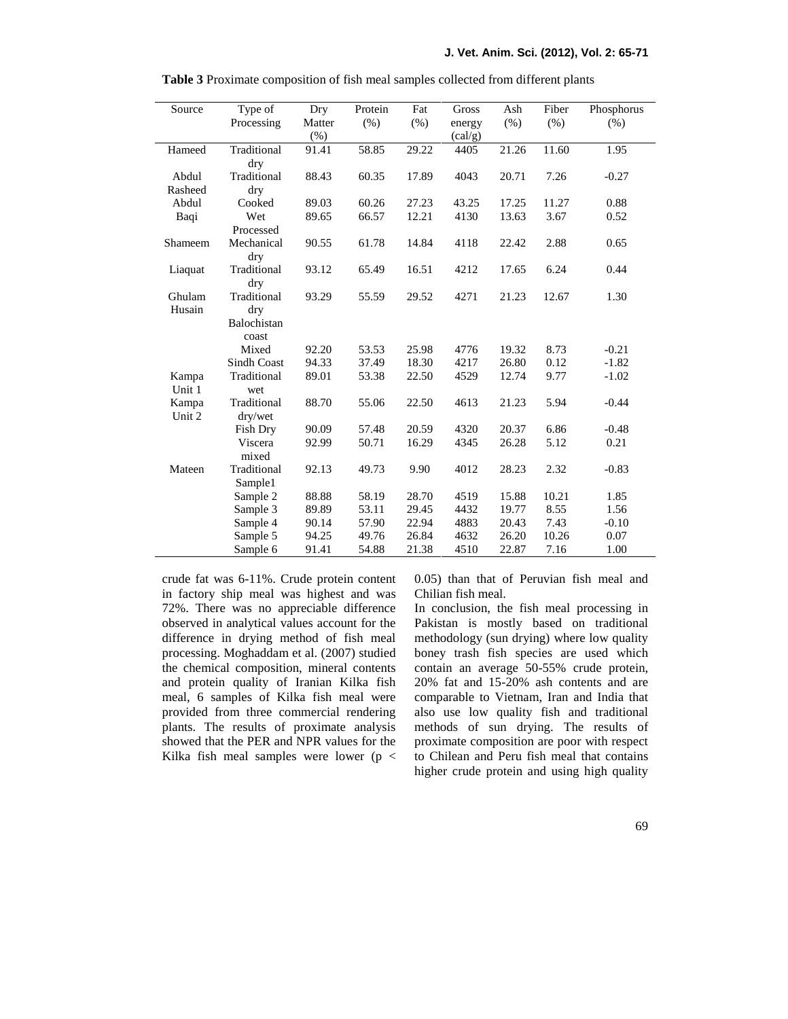| Source           | Type of                                    | Dry               | Protein | Fat   | Gross                      | Ash   | Fiber | Phosphorus |
|------------------|--------------------------------------------|-------------------|---------|-------|----------------------------|-------|-------|------------|
|                  | Processing                                 | Matter<br>$(\% )$ | (% )    | (% )  | energy<br>$\text{(cal/g)}$ | (% )  | (% )  | (% )       |
| Hameed           | Traditional<br>dry                         | 91.41             | 58.85   | 29.22 | 4405                       | 21.26 | 11.60 | 1.95       |
| Abdul<br>Rasheed | Traditional<br>dry                         | 88.43             | 60.35   | 17.89 | 4043                       | 20.71 | 7.26  | $-0.27$    |
| Abdul            | Cooked                                     | 89.03             | 60.26   | 27.23 | 43.25                      | 17.25 | 11.27 | 0.88       |
| Baqi             | Wet<br>Processed                           | 89.65             | 66.57   | 12.21 | 4130                       | 13.63 | 3.67  | 0.52       |
| Shameem          | Mechanical<br>dry                          | 90.55             | 61.78   | 14.84 | 4118                       | 22.42 | 2.88  | 0.65       |
| Liaquat          | Traditional<br>dry                         | 93.12             | 65.49   | 16.51 | 4212                       | 17.65 | 6.24  | 0.44       |
| Ghulam<br>Husain | Traditional<br>dry<br>Balochistan<br>coast | 93.29             | 55.59   | 29.52 | 4271                       | 21.23 | 12.67 | 1.30       |
|                  | Mixed                                      | 92.20             | 53.53   | 25.98 | 4776                       | 19.32 | 8.73  | $-0.21$    |
|                  | Sindh Coast                                | 94.33             | 37.49   | 18.30 | 4217                       | 26.80 | 0.12  | $-1.82$    |
| Kampa<br>Unit 1  | Traditional<br>wet                         | 89.01             | 53.38   | 22.50 | 4529                       | 12.74 | 9.77  | $-1.02$    |
| Kampa<br>Unit 2  | Traditional<br>dry/wet                     | 88.70             | 55.06   | 22.50 | 4613                       | 21.23 | 5.94  | $-0.44$    |
|                  | Fish Dry                                   | 90.09             | 57.48   | 20.59 | 4320                       | 20.37 | 6.86  | $-0.48$    |
|                  | Viscera<br>mixed                           | 92.99             | 50.71   | 16.29 | 4345                       | 26.28 | 5.12  | 0.21       |
| Mateen           | Traditional<br>Sample1                     | 92.13             | 49.73   | 9.90  | 4012                       | 28.23 | 2.32  | $-0.83$    |
|                  | Sample 2                                   | 88.88             | 58.19   | 28.70 | 4519                       | 15.88 | 10.21 | 1.85       |
|                  | Sample 3                                   | 89.89             | 53.11   | 29.45 | 4432                       | 19.77 | 8.55  | 1.56       |
|                  | Sample 4                                   | 90.14             | 57.90   | 22.94 | 4883                       | 20.43 | 7.43  | $-0.10$    |
|                  | Sample 5                                   | 94.25             | 49.76   | 26.84 | 4632                       | 26.20 | 10.26 | 0.07       |
|                  | Sample 6                                   | 91.41             | 54.88   | 21.38 | 4510                       | 22.87 | 7.16  | 1.00       |

**Table 3** Proximate composition of fish meal samples collected from different plants

crude fat was 6-11%. Crude protein content in factory ship meal was highest and was 72%. There was no appreciable difference observed in analytical values account for the difference in drying method of fish meal processing. Moghaddam et al. (2007) studied the chemical composition, mineral contents and protein quality of Iranian Kilka fish meal, 6 samples of Kilka fish meal were provided from three commercial rendering plants. The results of proximate analysis showed that the PER and NPR values for the Kilka fish meal samples were lower ( $p <$  0.05) than that of Peruvian fish meal and Chilian fish meal.

In conclusion, the fish meal processing in Pakistan is mostly based on traditional methodology (sun drying) where low quality boney trash fish species are used which contain an average 50-55% crude protein, 20% fat and 15-20% ash contents and are comparable to Vietnam, Iran and India that also use low quality fish and traditional methods of sun drying. The results of proximate composition are poor with respect to Chilean and Peru fish meal that contains higher crude protein and using high quality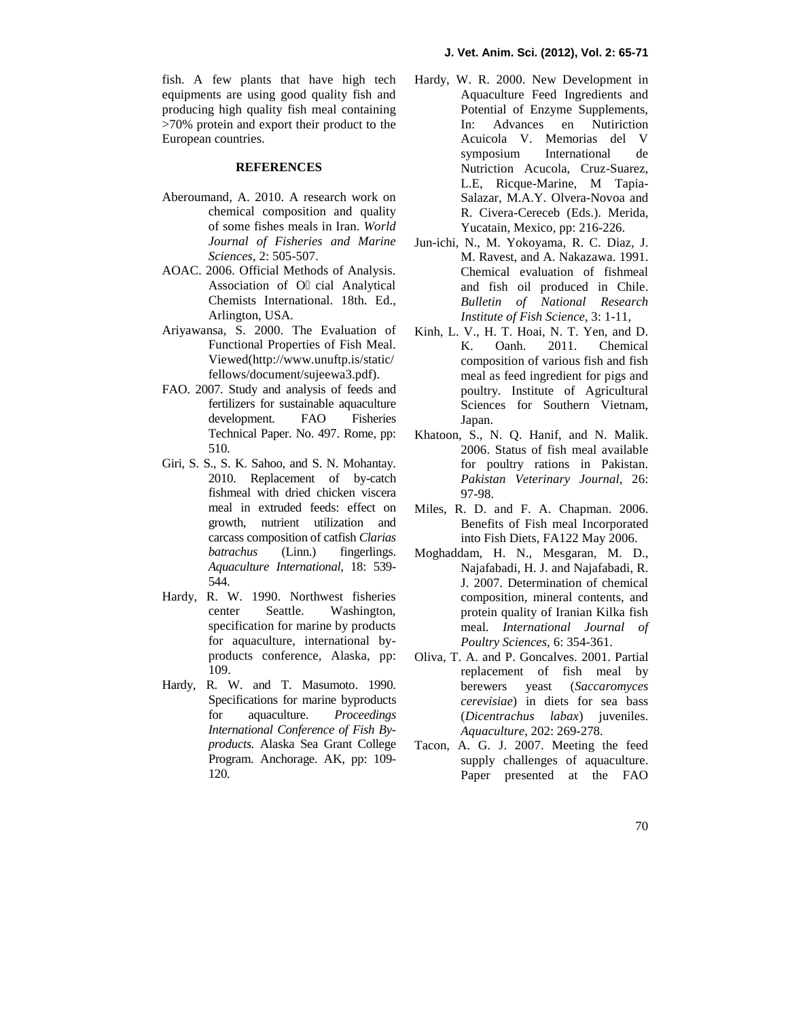fish. A few plants that have high tech equipments are using good quality fish and producing high quality fish meal containing >70% protein and export their product to the European countries.

### **REFERENCES**

- Aberoumand, A. 2010. A research work on chemical composition and quality of some fishes meals in Iran. *World Journal of Fisheries and Marine Sciences*, 2: 505-507.
- AOAC. 2006. Official Methods of Analysis. Association of O cial Analytical Chemists International. 18th. Ed., Arlington, USA.
- Ariyawansa, S. 2000. The Evaluation of Functional Properties of Fish Meal. Viewed(http://www.unuftp.is/static/ fellows/document/sujeewa3.pdf).
- FAO. 2007. Study and analysis of feeds and fertilizers for sustainable aquaculture development. FAO Fisheries Technical Paper. No. 497. Rome, pp: 510.
- Giri, S. S., S. K. Sahoo, and S. N. Mohantay. 2010. Replacement of by-catch fishmeal with dried chicken viscera meal in extruded feeds: effect on growth, nutrient utilization and carcass composition of catfish *Clarias batrachus* (Linn.) fingerlings. *Aquaculture International,* 18: 539- 544.
- Hardy, R. W. 1990. Northwest fisheries center Seattle. Washington, specification for marine by products for aquaculture, international by products conference, Alaska, pp: 109.
- Hardy, R. W. and T. Masumoto. 1990. Specifications for marine byproducts for aquaculture. *Proceedings International Conference of Fish By products.* Alaska Sea Grant College Program. Anchorage. AK, pp: 109- 120.
- Hardy, W. R. 2000. New Development in Aquaculture Feed Ingredients and Potential of Enzyme Supplements, In: Advances en Nutiriction Acuicola V. Memorias del V symposium International de Nutriction Acucola, Cruz-Suarez, L.E, Ricque-Marine, M Tapia- Salazar, M.A.Y. Olvera-Novoa and R. Civera-Cereceb (Eds.). Merida, Yucatain, Mexico, pp: 216-226.
- Jun-ichi, N., M. Yokoyama, R. C. Diaz, J. M. Ravest, and A. Nakazawa. 1991. Chemical evaluation of fishmeal and fish oil produced in Chile. *Bulletin of National Research Institute of Fish Science*, 3: 1-11,
- Kinh, L. V., H. T. Hoai, N. T. Yen, and D. K. Oanh. 2011. Chemical composition of various fish and fish meal as feed ingredient for pigs and poultry. Institute of Agricultural Sciences for Southern Vietnam, Japan.
- Khatoon, S., N. Q. Hanif, and N. Malik. 2006. Status of fish meal available for poultry rations in Pakistan. *Pakistan Veterinary Journal*, 26: 97-98.
- Miles, R. D. and F. A. Chapman. 2006. Benefits of Fish meal Incorporated into Fish Diets, FA122 May 2006.
- Moghaddam, H. N., Mesgaran, M. D., Najafabadi, H. J. and Najafabadi, R. J. 2007. Determination of chemical composition, mineral contents, and protein quality of Iranian Kilka fish meal. *International Journal of Poultry Sciences,* 6: 354-361.
- Oliva, T. A. and P. Goncalves. 2001. Partial replacement of fish meal by berewers yeast (*Saccaromyces cerevisiae*) in diets for sea bass (*Dicentrachus labax*) juveniles. *Aquaculture*, 202: 269-278.
- A. G. J. 2007. Meeting the feed supply challenges of aquaculture. Paper presented at the FAO